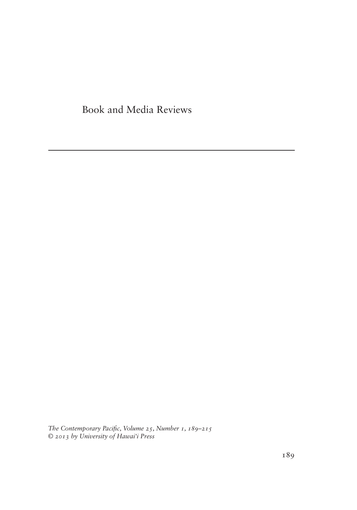Book and Media Reviews

The Contemporary Pacific, Volume 25, Number 1, 189-215 *© 2013 by University of Hawai'i Press*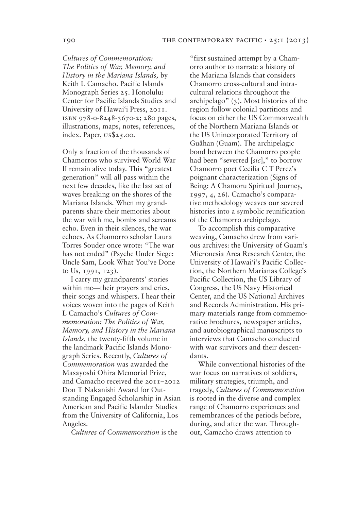*Cultures of Commemoration: The Politics of War, Memory, and History in the Mariana Islands,* by Keith L Camacho. Pacific Islands Monograph Series 25. Honolulu: Center for Pacific Islands Studies and University of Hawai'i Press, 2011. isbn 978-0-8248-3670-2; 280 pages, illustrations, maps, notes, references, index. Paper, us\$25.00.

Only a fraction of the thousands of Chamorros who survived World War II remain alive today. This "greatest generation" will all pass within the next few decades, like the last set of waves breaking on the shores of the Mariana Islands. When my grandparents share their memories about the war with me, bombs and screams echo. Even in their silences, the war echoes. As Chamorro scholar Laura Torres Souder once wrote: "The war has not ended" (Psyche Under Siege: Uncle Sam, Look What You've Done to Us, 1991, 123).

I carry my grandparents' stories within me—their prayers and cries, their songs and whispers. I hear their voices woven into the pages of Keith L Camacho's *Cultures of Commemoration: The Politics of War, Memory, and History in the Mariana Islands,* the twenty-fifth volume in the landmark Pacific Islands Monograph Series. Recently, *Cultures of Commemoration* was awarded the Masayoshi Ohira Memorial Prize, and Camacho received the 2011–2012 Don T Nakanishi Award for Outstanding Engaged Scholarship in Asian American and Pacific Islander Studies from the University of California, Los Angeles.

*Cultures of Commemoration* is the

"first sustained attempt by a Chamorro author to narrate a history of the Mariana Islands that considers Chamorro cross-cultural and intracultural relations throughout the archipelago" (3). Most histories of the region follow colonial partitions and focus on either the US Commonwealth of the Northern Mariana Islands or the US Unincorporated Territory of Guåhan (Guam). The archipelagic bond between the Chamorro people had been "severred [*sic*]," to borrow Chamorro poet Cecilia C T Perez's poignant characterization (Signs of Being: A Chamoru Spiritual Journey, 1997, 4, 26). Camacho's comparative methodology weaves our severed histories into a symbolic reunification of the Chamorro archipelago.

To accomplish this comparative weaving, Camacho drew from various archives: the University of Guam's Micronesia Area Research Center, the University of Hawai'i's Pacific Collection, the Northern Marianas College's Pacific Collection, the US Library of Congress, the US Navy Historical Center, and the US National Archives and Records Administration. His primary materials range from commemorative brochures, newspaper articles, and autobiographical manuscripts to interviews that Camacho conducted with war survivors and their descendants.

While conventional histories of the war focus on narratives of soldiers, military strategies, triumph, and tragedy, *Cultures of Commemoration* is rooted in the diverse and complex range of Chamorro experiences and remembrances of the periods before, during, and after the war. Throughout, Camacho draws attention to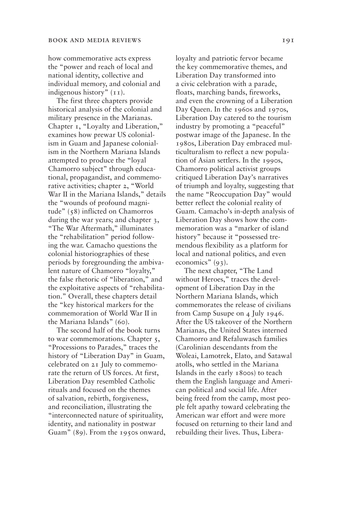how commemorative acts express the "power and reach of local and national identity, collective and individual memory, and colonial and indigenous history" (11).

The first three chapters provide historical analysis of the colonial and military presence in the Marianas. Chapter 1, "Loyalty and Liberation," examines how prewar US colonialism in Guam and Japanese colonialism in the Northern Mariana Islands attempted to produce the "loyal Chamorro subject" through educational, propagandist, and commemorative activities; chapter 2, "World War II in the Mariana Islands," details the "wounds of profound magnitude" (58) inflicted on Chamorros during the war years; and chapter 3, "The War Aftermath," illuminates the "rehabilitation" period following the war. Camacho questions the colonial historiographies of these periods by foregrounding the ambivalent nature of Chamorro "loyalty," the false rhetoric of "liberation," and the exploitative aspects of "rehabilitation." Overall, these chapters detail the "key historical markers for the commemoration of World War II in the Mariana Islands" (60).

The second half of the book turns to war commemorations. Chapter 5, "Processions to Parades," traces the history of "Liberation Day" in Guam, celebrated on 21 July to commemorate the return of US forces. At first, Liberation Day resembled Catholic rituals and focused on the themes of salvation, rebirth, forgiveness, and reconciliation, illustrating the "interconnected nature of spirituality, identity, and nationality in postwar Guam" (89). From the 1950s onward, loyalty and patriotic fervor became the key commemorative themes, and Liberation Day transformed into a civic celebration with a parade, floats, marching bands, fireworks, and even the crowning of a Liberation Day Queen. In the 1960s and 1970s, Liberation Day catered to the tourism industry by promoting a "peaceful" postwar image of the Japanese. In the 1980s, Liberation Day embraced multiculturalism to reflect a new population of Asian settlers. In the 1990s, Chamorro political activist groups critiqued Liberation Day's narratives of triumph and loyalty, suggesting that the name "Reoccupation Day" would better reflect the colonial reality of Guam. Camacho's in-depth analysis of Liberation Day shows how the commemoration was a "marker of island history" because it "possessed tremendous flexibility as a platform for local and national politics, and even economics" (93).

The next chapter, "The Land without Heroes," traces the development of Liberation Day in the Northern Mariana Islands, which commemorates the release of civilians from Camp Susupe on 4 July 1946. After the US takeover of the Northern Marianas, the United States interned Chamorro and Refaluwasch families (Carolinian descendants from the Woleai, Lamotrek, Elato, and Satawal atolls, who settled in the Mariana Islands in the early 1800s) to teach them the English language and American political and social life. After being freed from the camp, most people felt apathy toward celebrating the American war effort and were more focused on returning to their land and rebuilding their lives. Thus, Libera